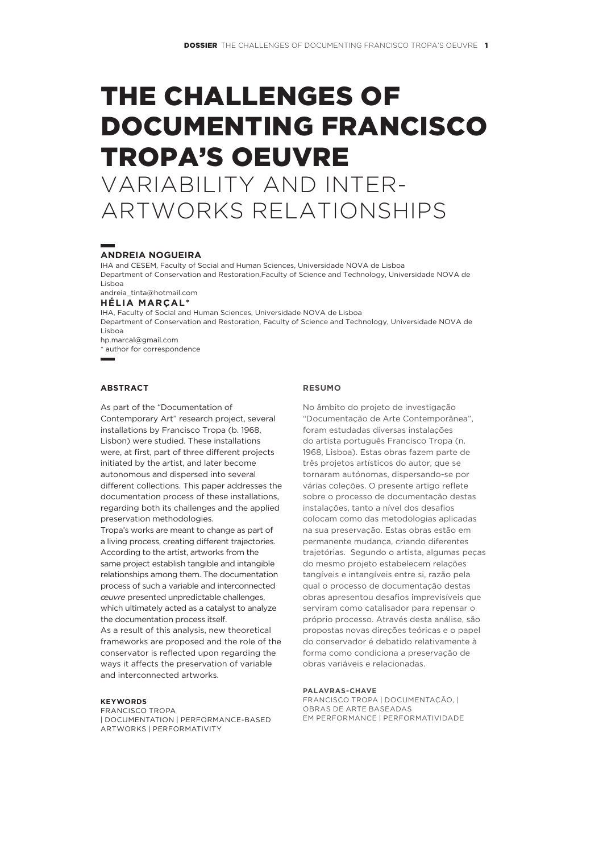# The challenges of documenting Francisco Tropa's oeuvre variability and inter-

artworks relationships

## **Andreia Nogueira**

IHA and CESEM, Faculty of Social and Human Sciences, Universidade NOVA de Lisboa Department of Conservation and Restoration,Faculty of Science and Technology, Universidade NOVA de Lisboa

andreia\_tinta@hotmail.com

## **Hélia Marçal\***

IHA, Faculty of Social and Human Sciences, Universidade NOVA de Lisboa Department of Conservation and Restoration, Faculty of Science and Technology, Universidade NOVA de Lisboa hp.marcal@gmail.com

\* author for correspondence

## **Abstract**

As part of the "Documentation of Contemporary Art" research project, several installations by Francisco Tropa (b. 1968, Lisbon) were studied. These installations were, at first, part of three different projects initiated by the artist, and later become autonomous and dispersed into several different collections. This paper addresses the documentation process of these installations, regarding both its challenges and the applied preservation methodologies.

Tropa's works are meant to change as part of a living process, creating different trajectories. According to the artist, artworks from the same project establish tangible and intangible relationships among them. The documentation process of such a variable and interconnected *œuvre* presented unpredictable challenges, which ultimately acted as a catalyst to analyze the documentation process itself.

As a result of this analysis, new theoretical frameworks are proposed and the role of the conservator is reflected upon regarding the ways it affects the preservation of variable and interconnected artworks.

#### **Keywords**

Francisco Tropa | documentation | performance‑based artworks | performativity

#### **RESUMO**

No âmbito do projeto de investigação "Documentação de Arte Contemporânea", foram estudadas diversas instalações do artista português Francisco Tropa (n. 1968, Lisboa). Estas obras fazem parte de três projetos artísticos do autor, que se tornaram autónomas, dispersando‑se por várias coleções. O presente artigo reflete sobre o processo de documentação destas instalações, tanto a nível dos desafios colocam como das metodologias aplicadas na sua preservação. Estas obras estão em permanente mudança, criando diferentes trajetórias. Segundo o artista, algumas peças do mesmo projeto estabelecem relações tangíveis e intangíveis entre si, razão pela qual o processo de documentação destas obras apresentou desafios imprevisíveis que serviram como catalisador para repensar o próprio processo. Através desta análise, são propostas novas direções teóricas e o papel do conservador é debatido relativamente à forma como condiciona a preservação de obras variáveis e relacionadas.

#### **palavras-chave**

FRANCISCO TROPA | DOCUMENTAÇÃO, | OBRAS DE ARTE BASEADAS EM PERFORMANCE | PERFORMATIVIDADE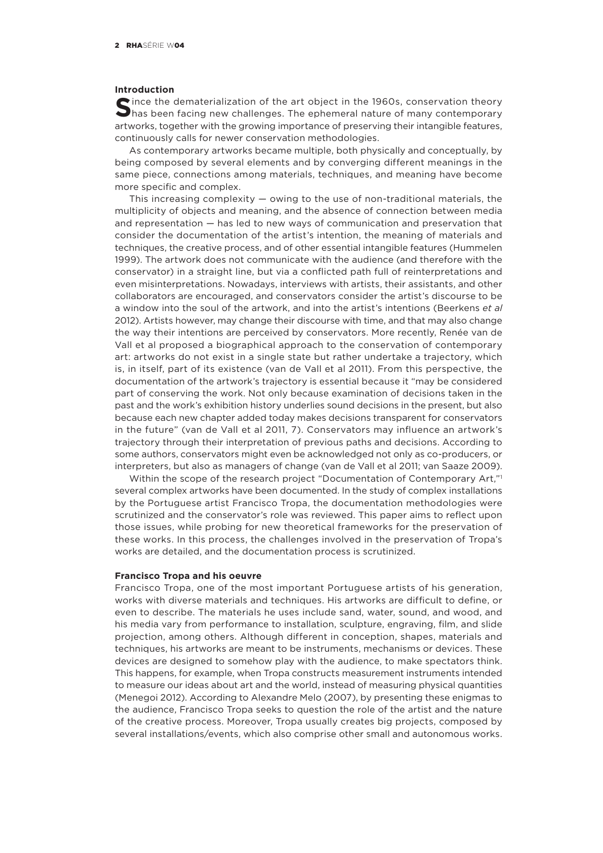#### **Introduction**

**S**ince the dematerialization of the art object in the 1960s, conservation theory has been facing new challenges. The ephemeral nature of many contemporary artworks, together with the growing importance of preserving their intangible features, continuously calls for newer conservation methodologies.

As contemporary artworks became multiple, both physically and conceptually, by being composed by several elements and by converging different meanings in the same piece, connections among materials, techniques, and meaning have become more specific and complex.

This increasing complexity  $-$  owing to the use of non-traditional materials, the multiplicity of objects and meaning, and the absence of connection between media and representation — has led to new ways of communication and preservation that consider the documentation of the artist's intention, the meaning of materials and techniques, the creative process, and of other essential intangible features (Hummelen 1999). The artwork does not communicate with the audience (and therefore with the conservator) in a straight line, but via a conflicted path full of reinterpretations and even misinterpretations. Nowadays, interviews with artists, their assistants, and other collaborators are encouraged, and conservators consider the artist's discourse to be a window into the soul of the artwork, and into the artist's intentions (Beerkens *et al* 2012). Artists however, may change their discourse with time, and that may also change the way their intentions are perceived by conservators. More recently, Renée van de Vall et al proposed a biographical approach to the conservation of contemporary art: artworks do not exist in a single state but rather undertake a trajectory, which is, in itself, part of its existence (van de Vall et al 2011). From this perspective, the documentation of the artwork's trajectory is essential because it "may be considered part of conserving the work. Not only because examination of decisions taken in the past and the work's exhibition history underlies sound decisions in the present, but also because each new chapter added today makes decisions transparent for conservators in the future" (van de Vall et al 2011, 7). Conservators may influence an artwork's trajectory through their interpretation of previous paths and decisions. According to some authors, conservators might even be acknowledged not only as co-producers, or interpreters, but also as managers of change (van de Vall et al 2011; van Saaze 2009).

Within the scope of the research project "Documentation of Contemporary Art,"<sup>1</sup> several complex artworks have been documented. In the study of complex installations by the Portuguese artist Francisco Tropa, the documentation methodologies were scrutinized and the conservator's role was reviewed. This paper aims to reflect upon those issues, while probing for new theoretical frameworks for the preservation of these works. In this process, the challenges involved in the preservation of Tropa's works are detailed, and the documentation process is scrutinized.

## **Francisco Tropa and his oeuvre**

Francisco Tropa, one of the most important Portuguese artists of his generation, works with diverse materials and techniques. His artworks are difficult to define, or even to describe. The materials he uses include sand, water, sound, and wood, and his media vary from performance to installation, sculpture, engraving, film, and slide projection, among others. Although different in conception, shapes, materials and techniques, his artworks are meant to be instruments, mechanisms or devices. These devices are designed to somehow play with the audience, to make spectators think. This happens, for example, when Tropa constructs measurement instruments intended to measure our ideas about art and the world, instead of measuring physical quantities (Menegoi 2012). According to Alexandre Melo (2007), by presenting these enigmas to the audience, Francisco Tropa seeks to question the role of the artist and the nature of the creative process. Moreover, Tropa usually creates big projects, composed by several installations/events, which also comprise other small and autonomous works.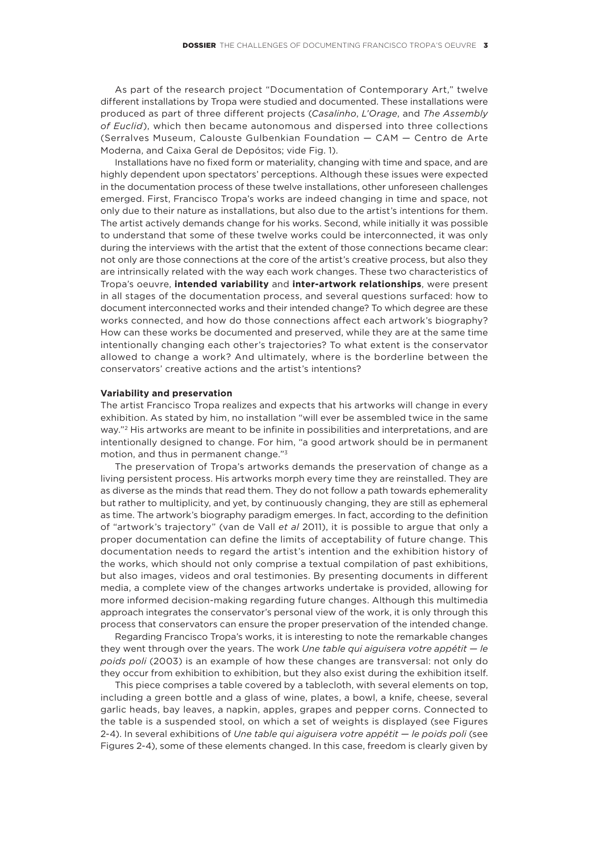As part of the research project "Documentation of Contemporary Art," twelve different installations by Tropa were studied and documented. These installations were produced as part of three different projects (*Casalinho*, *L'Orage*, and *The Assembly of Euclid*), which then became autonomous and dispersed into three collections (Serralves Museum, Calouste Gulbenkian Foundation — CAM — Centro de Arte Moderna, and Caixa Geral de Depósitos; vide Fig. 1).

Installations have no fixed form or materiality, changing with time and space, and are highly dependent upon spectators' perceptions. Although these issues were expected in the documentation process of these twelve installations, other unforeseen challenges emerged. First, Francisco Tropa's works are indeed changing in time and space, not only due to their nature as installations, but also due to the artist's intentions for them. The artist actively demands change for his works. Second, while initially it was possible to understand that some of these twelve works could be interconnected, it was only during the interviews with the artist that the extent of those connections became clear: not only are those connections at the core of the artist's creative process, but also they are intrinsically related with the way each work changes. These two characteristics of Tropa's oeuvre, **intended variability** and **inter-artwork relationships**, were present in all stages of the documentation process, and several questions surfaced: how to document interconnected works and their intended change? To which degree are these works connected, and how do those connections affect each artwork's biography? How can these works be documented and preserved, while they are at the same time intentionally changing each other's trajectories? To what extent is the conservator allowed to change a work? And ultimately, where is the borderline between the conservators' creative actions and the artist's intentions?

## **Variability and preservation**

The artist Francisco Tropa realizes and expects that his artworks will change in every exhibition. As stated by him, no installation "will ever be assembled twice in the same way."2 His artworks are meant to be infinite in possibilities and interpretations, and are intentionally designed to change. For him, "a good artwork should be in permanent motion, and thus in permanent change."3

The preservation of Tropa's artworks demands the preservation of change as a living persistent process. His artworks morph every time they are reinstalled. They are as diverse as the minds that read them. They do not follow a path towards ephemerality but rather to multiplicity, and yet, by continuously changing, they are still as ephemeral as time. The artwork's biography paradigm emerges. In fact, according to the definition of "artwork's trajectory" (van de Vall *et al* 2011), it is possible to argue that only a proper documentation can define the limits of acceptability of future change. This documentation needs to regard the artist's intention and the exhibition history of the works, which should not only comprise a textual compilation of past exhibitions, but also images, videos and oral testimonies. By presenting documents in different media, a complete view of the changes artworks undertake is provided, allowing for more informed decision‑making regarding future changes. Although this multimedia approach integrates the conservator's personal view of the work, it is only through this process that conservators can ensure the proper preservation of the intended change.

Regarding Francisco Tropa's works, it is interesting to note the remarkable changes they went through over the years. The work *Une table qui aiguisera votre appétit — le poids poli* (2003) is an example of how these changes are transversal: not only do they occur from exhibition to exhibition, but they also exist during the exhibition itself.

This piece comprises a table covered by a tablecloth, with several elements on top, including a green bottle and a glass of wine, plates, a bowl, a knife, cheese, several garlic heads, bay leaves, a napkin, apples, grapes and pepper corns. Connected to the table is a suspended stool, on which a set of weights is displayed (see Figures 2‑4). In several exhibitions of *Une table qui aiguisera votre appétit — le poids poli* (see Figures 2‑4), some of these elements changed. In this case, freedom is clearly given by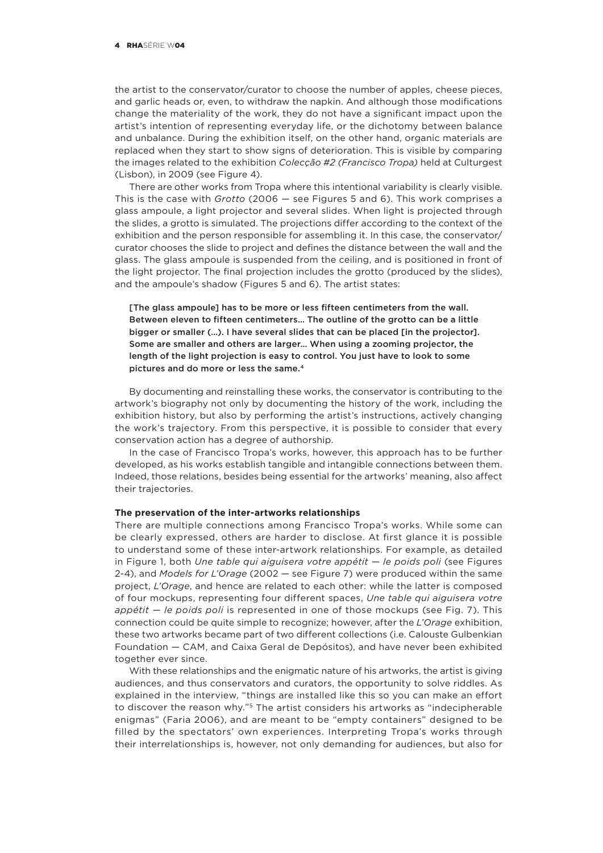the artist to the conservator/curator to choose the number of apples, cheese pieces, and garlic heads or, even, to withdraw the napkin. And although those modifications change the materiality of the work, they do not have a significant impact upon the artist's intention of representing everyday life, or the dichotomy between balance and unbalance. During the exhibition itself, on the other hand, organic materials are replaced when they start to show signs of deterioration. This is visible by comparing the images related to the exhibition *Colecção #2 (Francisco Tropa)* held at Culturgest (Lisbon), in 2009 (see Figure 4).

There are other works from Tropa where this intentional variability is clearly visible. This is the case with *Grotto* (2006 — see Figures 5 and 6). This work comprises a glass ampoule, a light projector and several slides. When light is projected through the slides, a grotto is simulated. The projections differ according to the context of the exhibition and the person responsible for assembling it. In this case, the conservator/ curator chooses the slide to project and defines the distance between the wall and the glass. The glass ampoule is suspended from the ceiling, and is positioned in front of the light projector. The final projection includes the grotto (produced by the slides), and the ampoule's shadow (Figures 5 and 6). The artist states:

[The glass ampoule] has to be more or less fifteen centimeters from the wall. Between eleven to fifteen centimeters… The outline of the grotto can be a little bigger or smaller (…). I have several slides that can be placed [in the projector]. Some are smaller and others are larger… When using a zooming projector, the length of the light projection is easy to control. You just have to look to some pictures and do more or less the same.4

By documenting and reinstalling these works, the conservator is contributing to the artwork's biography not only by documenting the history of the work, including the exhibition history, but also by performing the artist's instructions, actively changing the work's trajectory. From this perspective, it is possible to consider that every conservation action has a degree of authorship.

In the case of Francisco Tropa's works, however, this approach has to be further developed, as his works establish tangible and intangible connections between them. Indeed, those relations, besides being essential for the artworks' meaning, also affect their trajectories.

## **The preservation of the inter-artworks relationships**

There are multiple connections among Francisco Tropa's works. While some can be clearly expressed, others are harder to disclose. At first glance it is possible to understand some of these inter-artwork relationships. For example, as detailed in Figure 1, both *Une table qui aiguisera votre appétit — le poids poli* (see Figures 2‑4), and *Models for L'Orage* (2002 — see Figure 7) were produced within the same project, *L'Orage*, and hence are related to each other: while the latter is composed of four mockups, representing four different spaces, *Une table qui aiguisera votre appétit — le poids poli* is represented in one of those mockups (see Fig. 7). This connection could be quite simple to recognize; however, after the *L'Orage* exhibition, these two artworks became part of two different collections (i.e. Calouste Gulbenkian Foundation — CAM, and Caixa Geral de Depósitos), and have never been exhibited together ever since.

With these relationships and the enigmatic nature of his artworks, the artist is giving audiences, and thus conservators and curators, the opportunity to solve riddles. As explained in the interview, "things are installed like this so you can make an effort to discover the reason why."<sup>5</sup> The artist considers his artworks as "indecipherable enigmas" (Faria 2006), and are meant to be "empty containers" designed to be filled by the spectators' own experiences. Interpreting Tropa's works through their interrelationships is, however, not only demanding for audiences, but also for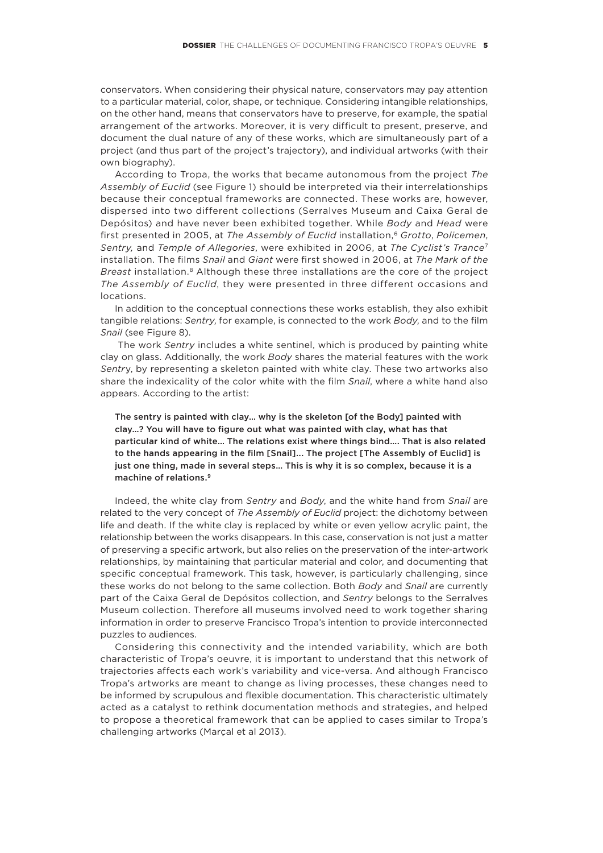conservators. When considering their physical nature, conservators may pay attention to a particular material, color, shape, or technique. Considering intangible relationships, on the other hand, means that conservators have to preserve, for example, the spatial arrangement of the artworks. Moreover, it is very difficult to present, preserve, and document the dual nature of any of these works, which are simultaneously part of a project (and thus part of the project's trajectory), and individual artworks (with their own biography).

According to Tropa, the works that became autonomous from the project *The Assembly of Euclid* (see Figure 1) should be interpreted via their interrelationships because their conceptual frameworks are connected. These works are, however, dispersed into two different collections (Serralves Museum and Caixa Geral de Depósitos) and have never been exhibited together. While *Body* and *Head* were first presented in 2005, at *The Assembly of Euclid* installation,6 *Grotto*, *Policemen*, *Sentry,* and *Temple of Allegories*, were exhibited in 2006, at *The Cyclist's Trance*<sup>7</sup> installation. The films *Snail* and *Giant* were first showed in 2006, at *The Mark of the Breast* installation.8 Although these three installations are the core of the project *The Assembly of Euclid*, they were presented in three different occasions and locations.

In addition to the conceptual connections these works establish, they also exhibit tangible relations: *Sentry*, for example, is connected to the work *Body*, and to the film *Snail* (see Figure 8).

 The work *Sentry* includes a white sentinel, which is produced by painting white clay on glass. Additionally, the work *Body* shares the material features with the work *Sentr*y, by representing a skeleton painted with white clay. These two artworks also share the indexicality of the color white with the film *Snail*, where a white hand also appears. According to the artist:

The sentry is painted with clay… why is the skeleton [of the Body] painted with clay…? You will have to figure out what was painted with clay, what has that particular kind of white… The relations exist where things bind…. That is also related to the hands appearing in the film [Snail]... The project [The Assembly of Euclid] is just one thing, made in several steps… This is why it is so complex, because it is a machine of relations.9

Indeed, the white clay from *Sentry* and *Body*, and the white hand from *Snail* are related to the very concept of *The Assembly of Euclid* project: the dichotomy between life and death. If the white clay is replaced by white or even yellow acrylic paint, the relationship between the works disappears. In this case, conservation is not just a matter of preserving a specific artwork, but also relies on the preservation of the inter-artwork relationships, by maintaining that particular material and color, and documenting that specific conceptual framework. This task, however, is particularly challenging, since these works do not belong to the same collection. Both *Body* and *Snail* are currently part of the Caixa Geral de Depósitos collection, and *Sentry* belongs to the Serralves Museum collection. Therefore all museums involved need to work together sharing information in order to preserve Francisco Tropa's intention to provide interconnected puzzles to audiences.

Considering this connectivity and the intended variability, which are both characteristic of Tropa's oeuvre, it is important to understand that this network of trajectories affects each work's variability and vice‑versa. And although Francisco Tropa's artworks are meant to change as living processes, these changes need to be informed by scrupulous and flexible documentation. This characteristic ultimately acted as a catalyst to rethink documentation methods and strategies, and helped to propose a theoretical framework that can be applied to cases similar to Tropa's challenging artworks (Marçal et al 2013).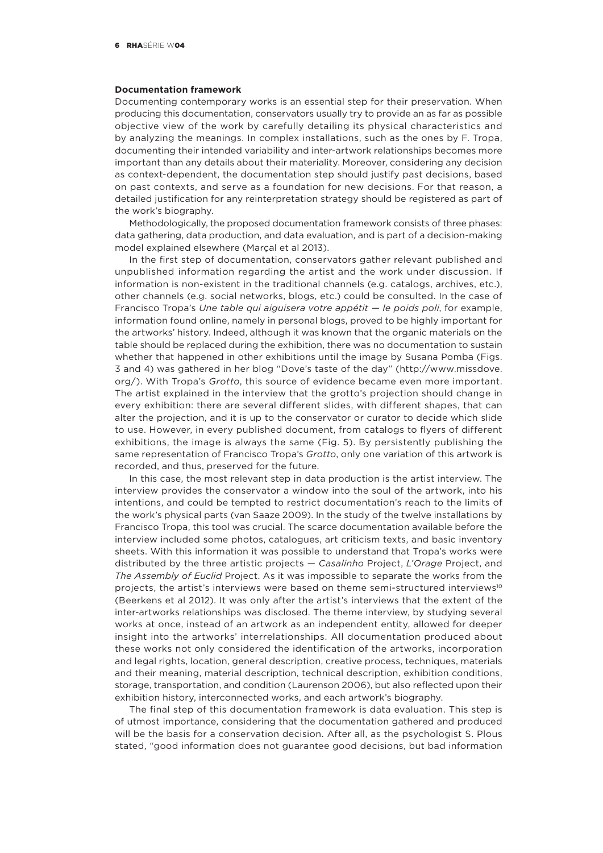#### **Documentation framework**

Documenting contemporary works is an essential step for their preservation. When producing this documentation, conservators usually try to provide an as far as possible objective view of the work by carefully detailing its physical characteristics and by analyzing the meanings. In complex installations, such as the ones by F. Tropa, documenting their intended variability and inter‑artwork relationships becomes more important than any details about their materiality. Moreover, considering any decision as context-dependent, the documentation step should justify past decisions, based on past contexts, and serve as a foundation for new decisions. For that reason, a detailed justification for any reinterpretation strategy should be registered as part of the work's biography.

Methodologically, the proposed documentation framework consists of three phases: data gathering, data production, and data evaluation, and is part of a decision-making model explained elsewhere (Marçal et al 2013).

In the first step of documentation, conservators gather relevant published and unpublished information regarding the artist and the work under discussion. If information is non-existent in the traditional channels (e.g. catalogs, archives, etc.), other channels (e.g. social networks, blogs, etc.) could be consulted. In the case of Francisco Tropa's *Une table qui aiguisera votre appétit — le poids poli*, for example, information found online, namely in personal blogs, proved to be highly important for the artworks' history. Indeed, although it was known that the organic materials on the table should be replaced during the exhibition, there was no documentation to sustain whether that happened in other exhibitions until the image by Susana Pomba (Figs. 3 and 4) was gathered in her blog "Dove's taste of the day" (http://www.missdove. org/). With Tropa's *Grotto*, this source of evidence became even more important. The artist explained in the interview that the grotto's projection should change in every exhibition: there are several different slides, with different shapes, that can alter the projection, and it is up to the conservator or curator to decide which slide to use. However, in every published document, from catalogs to flyers of different exhibitions, the image is always the same (Fig. 5). By persistently publishing the same representation of Francisco Tropa's *Grotto*, only one variation of this artwork is recorded, and thus, preserved for the future.

In this case, the most relevant step in data production is the artist interview. The interview provides the conservator a window into the soul of the artwork, into his intentions, and could be tempted to restrict documentation's reach to the limits of the work's physical parts (van Saaze 2009). In the study of the twelve installations by Francisco Tropa, this tool was crucial. The scarce documentation available before the interview included some photos, catalogues, art criticism texts, and basic inventory sheets. With this information it was possible to understand that Tropa's works were distributed by the three artistic projects — *Casalinho* Project, *L'Orage* Project, and *The Assembly of Euclid* Project. As it was impossible to separate the works from the projects, the artist's interviews were based on theme semi-structured interviews<sup>10</sup> (Beerkens et al 2012). It was only after the artist's interviews that the extent of the inter-artworks relationships was disclosed. The theme interview, by studying several works at once, instead of an artwork as an independent entity, allowed for deeper insight into the artworks' interrelationships. All documentation produced about these works not only considered the identification of the artworks, incorporation and legal rights, location, general description, creative process, techniques, materials and their meaning, material description, technical description, exhibition conditions, storage, transportation, and condition (Laurenson 2006), but also reflected upon their exhibition history, interconnected works, and each artwork's biography.

The final step of this documentation framework is data evaluation. This step is of utmost importance, considering that the documentation gathered and produced will be the basis for a conservation decision. After all, as the psychologist S. Plous stated, "good information does not guarantee good decisions, but bad information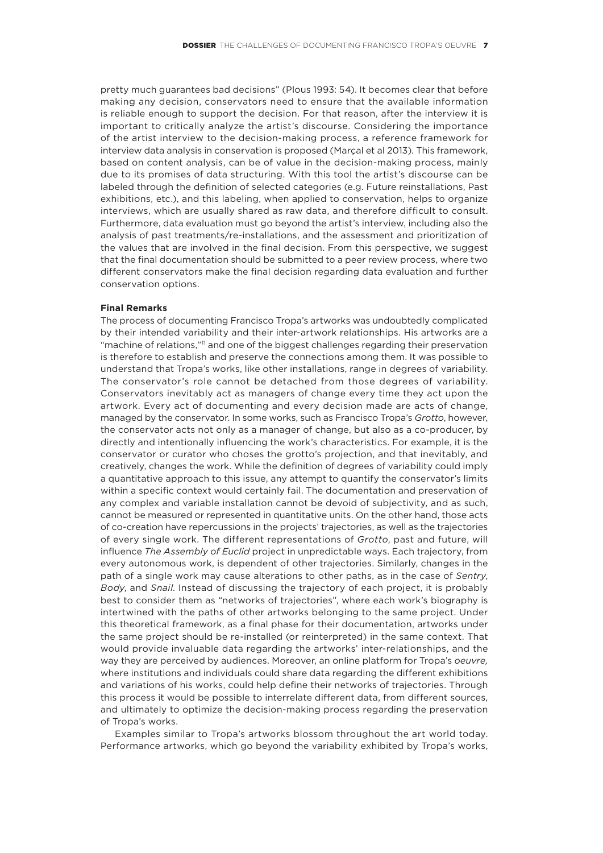pretty much guarantees bad decisions" (Plous 1993: 54). It becomes clear that before making any decision, conservators need to ensure that the available information is reliable enough to support the decision. For that reason, after the interview it is important to critically analyze the artist's discourse. Considering the importance of the artist interview to the decision‑making process, a reference framework for interview data analysis in conservation is proposed (Marçal et al 2013). This framework, based on content analysis, can be of value in the decision-making process, mainly due to its promises of data structuring. With this tool the artist's discourse can be labeled through the definition of selected categories (e.g. Future reinstallations, Past exhibitions, etc.), and this labeling, when applied to conservation, helps to organize interviews, which are usually shared as raw data, and therefore difficult to consult. Furthermore, data evaluation must go beyond the artist's interview, including also the analysis of past treatments/re‑installations, and the assessment and prioritization of the values that are involved in the final decision. From this perspective, we suggest that the final documentation should be submitted to a peer review process, where two different conservators make the final decision regarding data evaluation and further conservation options.

#### **Final Remarks**

The process of documenting Francisco Tropa's artworks was undoubtedly complicated by their intended variability and their inter‑artwork relationships. His artworks are a "machine of relations,"<sup>11</sup> and one of the biggest challenges regarding their preservation is therefore to establish and preserve the connections among them. It was possible to understand that Tropa's works, like other installations, range in degrees of variability. The conservator's role cannot be detached from those degrees of variability. Conservators inevitably act as managers of change every time they act upon the artwork. Every act of documenting and every decision made are acts of change, managed by the conservator. In some works, such as Francisco Tropa's *Grotto*, however, the conservator acts not only as a manager of change, but also as a co-producer, by directly and intentionally influencing the work's characteristics. For example, it is the conservator or curator who choses the grotto's projection, and that inevitably, and creatively, changes the work. While the definition of degrees of variability could imply a quantitative approach to this issue, any attempt to quantify the conservator's limits within a specific context would certainly fail. The documentation and preservation of any complex and variable installation cannot be devoid of subjectivity, and as such, cannot be measured or represented in quantitative units. On the other hand, those acts of co‑creation have repercussions in the projects' trajectories, as well as the trajectories of every single work. The different representations of *Grotto*, past and future, will influence *The Assembly of Euclid* project in unpredictable ways. Each trajectory, from every autonomous work, is dependent of other trajectories. Similarly, changes in the path of a single work may cause alterations to other paths, as in the case of *Sentry*, *Body*, and *Snail*. Instead of discussing the trajectory of each project, it is probably best to consider them as "networks of trajectories", where each work's biography is intertwined with the paths of other artworks belonging to the same project. Under this theoretical framework, as a final phase for their documentation, artworks under the same project should be re‑installed (or reinterpreted) in the same context. That would provide invaluable data regarding the artworks' inter-relationships, and the way they are perceived by audiences. Moreover, an online platform for Tropa's *oeuvre,* where institutions and individuals could share data regarding the different exhibitions and variations of his works, could help define their networks of trajectories. Through this process it would be possible to interrelate different data, from different sources, and ultimately to optimize the decision-making process regarding the preservation of Tropa's works.

Examples similar to Tropa's artworks blossom throughout the art world today. Performance artworks, which go beyond the variability exhibited by Tropa's works,